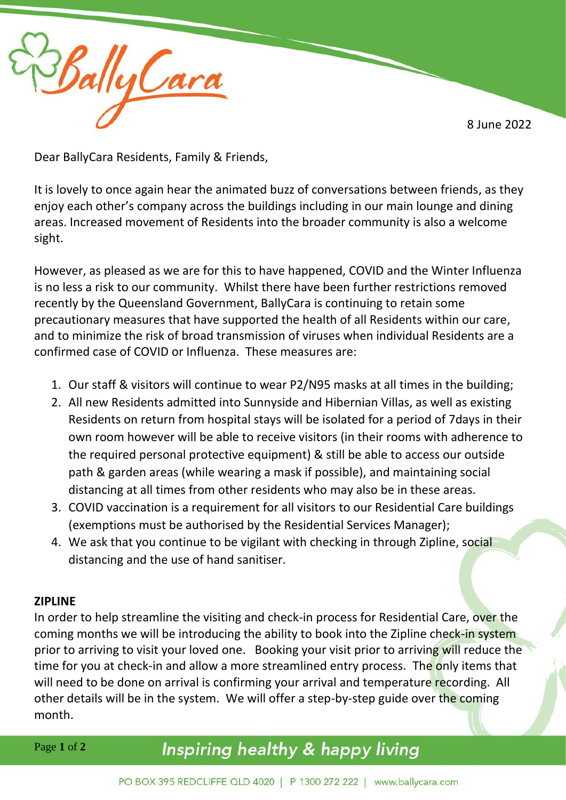8 June 2022



Dear BallyCara Residents, Family & Friends,

It is lovely to once again hear the animated buzz of conversations between friends, as they enjoy each other's company across the buildings including in our main lounge and dining areas. Increased movement of Residents into the broader community is also a welcome sight.

However, as pleased as we are for this to have happened, COVID and the Winter Influenza is no less a risk to our community. Whilst there have been further restrictions removed recently by the Queensland Government, BallyCara is continuing to retain some precautionary measures that have supported the health of all Residents within our care, and to minimize the risk of broad transmission of viruses when individual Residents are a confirmed case of COVID or Influenza. These measures are:

- 1. Our staff & visitors will continue to wear P2/N95 masks at all times in the building;
- 2. All new Residents admitted into Sunnyside and Hibernian Villas, as well as existing Residents on return from hospital stays will be isolated for a period of 7days in their own room however will be able to receive visitors (in their rooms with adherence to the required personal protective equipment) & still be able to access our outside path & garden areas (while wearing a mask if possible), and maintaining social distancing at all times from other residents who may also be in these areas.
- 3. COVID vaccination is a requirement for all visitors to our Residential Care buildings (exemptions must be authorised by the Residential Services Manager);
- 4. We ask that you continue to be vigilant with checking in through Zipline, social distancing and the use of hand sanitiser.

## **ZIPLINE**

In order to help streamline the visiting and check-in process for Residential Care, over the coming months we will be introducing the ability to book into the Zipline check-in system prior to arriving to visit your loved one. Booking your visit prior to arriving will reduce the time for you at check-in and allow a more streamlined entry process. The only items that will need to be done on arrival is confirming your arrival and temperature recording. All other details will be in the system. We will offer a step-by-step guide over the coming month.

Page **1** of **2**

## Inspiring healthy & happy living